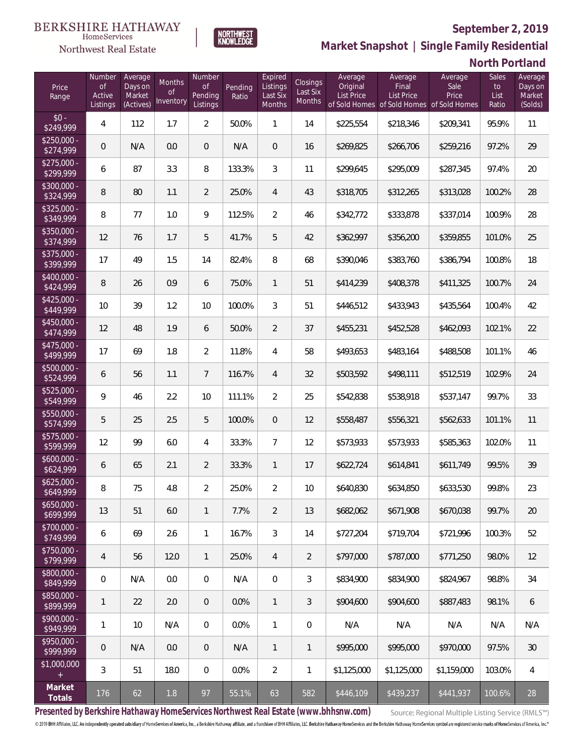

**NORTHWEST**<br>KNOWLEDGE

**Market Snapshot | Single Family Residential**

## **North Portland**

| Price<br>Range            | Number<br><b>of</b><br>Active<br>Listings | Average<br>Days on<br>Market<br>(Actives) | Months<br>0f<br>Inventory | Number<br><b>of</b><br>Pending<br>Listings | Pending<br>Ratio | Expired<br>Listings<br>Last Six<br>Months | Closings<br>Last Six<br>Months | Average<br>Original<br><b>List Price</b> | Average<br>Final<br>List Price<br>of Sold Homes of Sold Homes of Sold Homes | Average<br>Sale<br>Price | Sales<br>to<br>List<br>Ratio | Average<br>Days on<br>Market<br>(Solds) |
|---------------------------|-------------------------------------------|-------------------------------------------|---------------------------|--------------------------------------------|------------------|-------------------------------------------|--------------------------------|------------------------------------------|-----------------------------------------------------------------------------|--------------------------|------------------------------|-----------------------------------------|
| $$0 -$<br>\$249,999       | 4                                         | 112                                       | 1.7                       | $\overline{2}$                             | 50.0%            | $\mathbf{1}$                              | 14                             | \$225,554                                | \$218,346                                                                   | \$209,341                | 95.9%                        | 11                                      |
| $$250,000 -$<br>\$274,999 | $\overline{0}$                            | N/A                                       | 0.0                       | $\Omega$                                   | N/A              | $\overline{0}$                            | 16                             | \$269,825                                | \$266,706                                                                   | \$259,216                | 97.2%                        | 29                                      |
| $$275,000 -$<br>\$299,999 | 6                                         | 87                                        | 3.3                       | 8                                          | 133.3%           | 3                                         | 11                             | \$299,645                                | \$295,009                                                                   | \$287,345                | 97.4%                        | 20                                      |
| $$300,000 -$<br>\$324,999 | 8                                         | 80                                        | 1.1                       | $\overline{2}$                             | 25.0%            | $\overline{4}$                            | 43                             | \$318,705                                | \$312,265                                                                   | \$313,028                | 100.2%                       | 28                                      |
| $$325,000 -$<br>\$349,999 | 8                                         | 77                                        | 1.0                       | 9                                          | 112.5%           | $\overline{2}$                            | 46                             | \$342,772                                | \$333,878                                                                   | \$337,014                | 100.9%                       | 28                                      |
| $$350,000 -$<br>\$374,999 | 12                                        | 76                                        | 1.7                       | 5                                          | 41.7%            | 5                                         | 42                             | \$362,997                                | \$356,200                                                                   | \$359,855                | 101.0%                       | 25                                      |
| $$375,000 -$<br>\$399,999 | 17                                        | 49                                        | 1.5                       | 14                                         | 82.4%            | 8                                         | 68                             | \$390,046                                | \$383,760                                                                   | \$386,794                | 100.8%                       | 18                                      |
| $$400,000 -$<br>\$424,999 | 8                                         | 26                                        | 0.9                       | 6                                          | 75.0%            | $\mathbf{1}$                              | 51                             | \$414,239                                | \$408,378                                                                   | \$411,325                | 100.7%                       | 24                                      |
| $$425,000 -$<br>\$449,999 | 10                                        | 39                                        | 1.2                       | 10                                         | 100.0%           | 3                                         | 51                             | \$446,512                                | \$433,943                                                                   | \$435,564                | 100.4%                       | 42                                      |
| $$450,000 -$<br>\$474,999 | 12                                        | 48                                        | 1.9                       | 6                                          | 50.0%            | $\overline{2}$                            | 37                             | \$455,231                                | \$452,528                                                                   | \$462,093                | 102.1%                       | 22                                      |
| $$475,000 -$<br>\$499,999 | 17                                        | 69                                        | 1.8                       | $\overline{2}$                             | 11.8%            | $\overline{4}$                            | 58                             | \$493,653                                | \$483,164                                                                   | \$488,508                | 101.1%                       | 46                                      |
| $$500,000 -$<br>\$524,999 | 6                                         | 56                                        | 1.1                       | $\overline{7}$                             | 116.7%           | $\overline{4}$                            | 32                             | \$503,592                                | \$498,111                                                                   | \$512,519                | 102.9%                       | 24                                      |
| \$525,000 -<br>\$549,999  | $\overline{9}$                            | 46                                        | 2.2                       | 10                                         | 111.1%           | $\overline{2}$                            | 25                             | \$542,838                                | \$538,918                                                                   | \$537,147                | 99.7%                        | 33                                      |
| $$550,000 -$<br>\$574,999 | 5                                         | 25                                        | 2.5                       | 5                                          | 100.0%           | $\overline{0}$                            | 12                             | \$558,487                                | \$556,321                                                                   | \$562,633                | 101.1%                       | 11                                      |
| $$575,000 -$<br>\$599,999 | 12                                        | 99                                        | 6.0                       | 4                                          | 33.3%            | $\overline{7}$                            | 12                             | \$573,933                                | \$573,933                                                                   | \$585,363                | 102.0%                       | 11                                      |
| $$600,000 -$<br>\$624,999 | 6                                         | 65                                        | 2.1                       | 2                                          | 33.3%            | $\mathbf{1}$                              | 17                             | \$622,724                                | \$614,841                                                                   | \$611,749                | 99.5%                        | 39                                      |
| $$625,000 -$<br>\$649,999 | 8                                         | 75                                        | 4.8                       | $\overline{2}$                             | 25.0%            | $\overline{2}$                            | 10                             | \$640,830                                | \$634,850                                                                   | \$633,530                | 99.8%                        | 23                                      |
| $$650,000 -$<br>\$699,999 | 13                                        | 51                                        | 6.0                       | 1                                          | 7.7%             | $\overline{2}$                            | 13                             | \$682,062                                | \$671,908                                                                   | \$670,038                | 99.7%                        | 20                                      |
| $$700,000 -$<br>\$749,999 | 6                                         | 69                                        | 2.6                       | $\mathbf{1}$                               | 16.7%            | 3                                         | 14                             | \$727,204                                | \$719,704                                                                   | \$721,996                | 100.3%                       | 52                                      |
| \$750,000 -<br>\$799,999  | 4                                         | 56                                        | 12.0                      | 1                                          | 25.0%            | 4                                         | $\overline{2}$                 | \$797,000                                | \$787,000                                                                   | \$771,250                | 98.0%                        | 12                                      |
| $$800,000 -$<br>\$849,999 | $\overline{0}$                            | N/A                                       | 0.0                       | 0                                          | N/A              | 0                                         | $\mathfrak{Z}$                 | \$834,900                                | \$834,900                                                                   | \$824,967                | 98.8%                        | 34                                      |
| \$850,000 -<br>\$899,999  | $\mathbf{1}$                              | 22                                        | 2.0                       | $\theta$                                   | 0.0%             | $\mathbf{1}$                              | 3                              | \$904,600                                | \$904,600                                                                   | \$887,483                | 98.1%                        | 6                                       |
| $$900,000 -$<br>\$949,999 | $\mathbf{1}$                              | 10                                        | N/A                       | 0                                          | 0.0%             | $\mathbf{1}$                              | 0                              | N/A                                      | N/A                                                                         | N/A                      | N/A                          | N/A                                     |
| $$950,000 -$<br>\$999,999 | $\mathbf 0$                               | N/A                                       | 0.0                       | $\theta$                                   | N/A              | $\mathbf{1}$                              | $\mathbf{1}$                   | \$995,000                                | \$995,000                                                                   | \$970,000                | 97.5%                        | 30                                      |
| \$1,000,000<br>$+$        | 3                                         | 51                                        | 18.0                      | $\boldsymbol{0}$                           | 0.0%             | $\overline{2}$                            | 1                              | \$1,125,000                              | \$1,125,000                                                                 | \$1,159,000              | 103.0%                       | 4                                       |
| Market<br>Totals          | 176                                       | 62                                        | 1.8                       | 97                                         | 55.1%            | 63                                        | 582                            | \$446,109                                | \$439,237                                                                   | \$441,937                | 100.6%                       | 28                                      |

**Presented by Berkshire Hathaway HomeServices Northwest Real Estate (www.bhhsnw.com)**

Source: Regional Multiple Listing Service (RMLS™)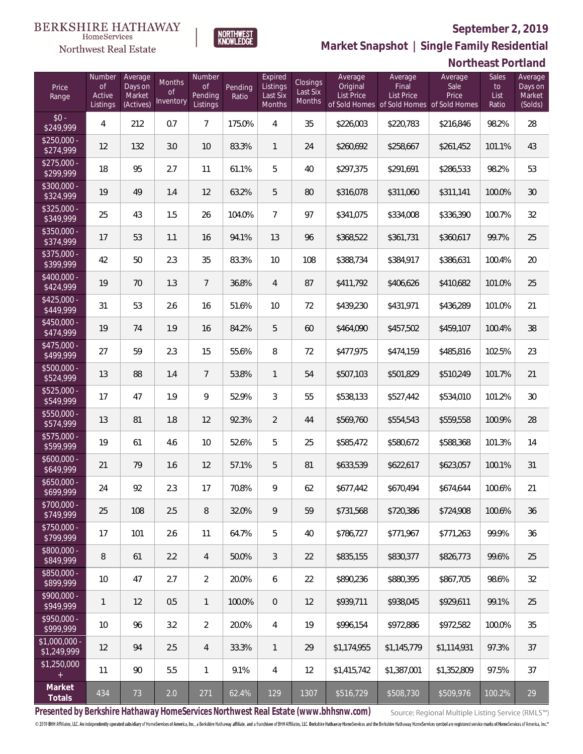**Northeast Portland** 



**Market Snapshot | Single Family Residential**

#### $\label{lem:sevices} \textsc{Home} \textsc{Service} \textsc{s}$ Northwest Real Estate

| Price<br>Range                | Number<br>$\mathsf{of}$<br>Active<br>Listings | Average<br>Days on<br>Market<br>(Actives) | Months<br><b>of</b><br>Inventory | Number<br><b>of</b><br>Pending<br>Listings | Pending<br>Ratio | Expired<br>Listings<br>Last Six<br><b>Months</b> | Closings<br>Last Six<br>Months | Average<br>Original<br><b>List Price</b> | Average<br>Final<br><b>List Price</b><br>of Sold Homes of Sold Homes of Sold Homes | Average<br>Sale<br>Price | Sales<br>to<br>List<br>Ratio | Average<br>Days on<br>Market<br>(Solds) |
|-------------------------------|-----------------------------------------------|-------------------------------------------|----------------------------------|--------------------------------------------|------------------|--------------------------------------------------|--------------------------------|------------------------------------------|------------------------------------------------------------------------------------|--------------------------|------------------------------|-----------------------------------------|
| $$0 -$<br>\$249,999           | $\overline{4}$                                | 212                                       | 0.7                              | $\overline{7}$                             | 175.0%           | 4                                                | 35                             | \$226,003                                | \$220,783                                                                          | \$216,846                | 98.2%                        | 28                                      |
| $$250,000 -$<br>\$274,999     | 12                                            | 132                                       | 3.0                              | 10                                         | 83.3%            | $\mathbf{1}$                                     | 24                             | \$260,692                                | \$258,667                                                                          | \$261,452                | 101.1%                       | 43                                      |
| $$275,000 -$<br>\$299,999     | 18                                            | 95                                        | 2.7                              | 11                                         | 61.1%            | 5                                                | 40                             | \$297,375                                | \$291,691                                                                          | \$286,533                | 98.2%                        | 53                                      |
| $$300,000 -$<br>\$324,999     | 19                                            | 49                                        | 1.4                              | 12                                         | 63.2%            | 5                                                | 80                             | \$316,078                                | \$311,060                                                                          | \$311,141                | 100.0%                       | 30                                      |
| $$325,000 -$<br>\$349,999     | 25                                            | 43                                        | 1.5                              | 26                                         | 104.0%           | $\overline{7}$                                   | 97                             | \$341,075                                | \$334,008                                                                          | \$336,390                | 100.7%                       | 32                                      |
| $$350,000 -$<br>\$374,999     | 17                                            | 53                                        | 1.1                              | 16                                         | 94.1%            | 13                                               | 96                             | \$368,522                                | \$361,731                                                                          | \$360,617                | 99.7%                        | 25                                      |
| \$375,000 -<br>\$399,999      | 42                                            | 50                                        | 2.3                              | 35                                         | 83.3%            | 10                                               | 108                            | \$388,734                                | \$384,917                                                                          | \$386,631                | 100.4%                       | $20\,$                                  |
| \$400,000 -<br>\$424,999      | 19                                            | 70                                        | 1.3                              | $\overline{7}$                             | 36.8%            | $\overline{4}$                                   | 87                             | \$411,792                                | \$406,626                                                                          | \$410,682                | 101.0%                       | 25                                      |
| $$425,000 -$<br>\$449,999     | 31                                            | 53                                        | 2.6                              | 16                                         | 51.6%            | 10                                               | 72                             | \$439,230                                | \$431,971                                                                          | \$436,289                | 101.0%                       | 21                                      |
| \$450,000 -<br>\$474,999      | 19                                            | 74                                        | 1.9                              | 16                                         | 84.2%            | 5                                                | 60                             | \$464,090                                | \$457,502                                                                          | \$459,107                | 100.4%                       | 38                                      |
| \$475,000 -<br>\$499,999      | 27                                            | 59                                        | 2.3                              | 15                                         | 55.6%            | 8                                                | 72                             | \$477,975                                | \$474,159                                                                          | \$485,816                | 102.5%                       | 23                                      |
| $$500,000 -$<br>\$524,999     | 13                                            | 88                                        | 1.4                              | $\overline{7}$                             | 53.8%            | $\mathbf{1}$                                     | 54                             | \$507,103                                | \$501,829                                                                          | \$510,249                | 101.7%                       | 21                                      |
| $$525,000 -$<br>\$549,999     | 17                                            | 47                                        | 1.9                              | 9                                          | 52.9%            | 3                                                | 55                             | \$538,133                                | \$527,442                                                                          | \$534,010                | 101.2%                       | 30                                      |
| $$550,000 -$<br>\$574,999     | 13                                            | 81                                        | 1.8                              | 12                                         | 92.3%            | $\overline{2}$                                   | 44                             | \$569,760                                | \$554,543                                                                          | \$559,558                | 100.9%                       | 28                                      |
| $$575,000 -$<br>\$599,999     | 19                                            | 61                                        | 4.6                              | 10                                         | 52.6%            | 5                                                | 25                             | \$585,472                                | \$580,672                                                                          | \$588,368                | 101.3%                       | 14                                      |
| $$600,000 -$<br>\$649,999     | 21                                            | 79                                        | 1.6                              | 12                                         | 57.1%            | 5                                                | 81                             | \$633,539                                | \$622,617                                                                          | \$623,057                | 100.1%                       | 31                                      |
| $$650,000 -$<br>\$699,999     | 24                                            | 92                                        | 2.3                              | 17                                         | 70.8%            | 9                                                | 62                             | \$677,442                                | \$670,494                                                                          | \$674,644                | 100.6%                       | 21                                      |
| $$700,000 -$<br>\$749,999     | 25                                            | 108                                       | 2.5                              | 8                                          | 32.0%            | 9                                                | 59                             | \$731,568                                | \$720,386                                                                          | \$724,908                | 100.6%                       | 36                                      |
| $$750,000 -$<br>\$799,999     | 17                                            | 101                                       | 2.6                              | 11                                         | 64.7%            | 5                                                | 40                             | \$786,727                                | \$771,967                                                                          | \$771,263                | 99.9%                        | 36                                      |
| $$800,000 -$<br>\$849,999     | 8                                             | 61                                        | 2.2                              | $\overline{4}$                             | 50.0%            | 3                                                | 22                             | \$835,155                                | \$830,377                                                                          | \$826,773                | 99.6%                        | 25                                      |
| $$850,000 -$<br>\$899,999     | 10                                            | 47                                        | 2.7                              | $\overline{2}$                             | 20.0%            | 6                                                | 22                             | \$890,236                                | \$880,395                                                                          | \$867,705                | 98.6%                        | 32                                      |
| $$900,000 -$<br>\$949,999     | $\mathbf{1}$                                  | 12                                        | 0.5                              | $\mathbf{1}$                               | 100.0%           | $\overline{0}$                                   | 12                             | \$939,711                                | \$938.045                                                                          | \$929,611                | 99.1%                        | 25                                      |
| \$950,000 -<br>\$999,999      | 10                                            | 96                                        | 3.2                              | $\overline{2}$                             | 20.0%            | 4                                                | 19                             | \$996,154                                | \$972,886                                                                          | \$972,582                | 100.0%                       | 35                                      |
| $$1,000,000$ -<br>\$1,249,999 | 12                                            | 94                                        | 2.5                              | $\overline{4}$                             | 33.3%            | $\mathbf{1}$                                     | 29                             | \$1,174,955                              | \$1,145,779                                                                        | \$1,114,931              | 97.3%                        | 37                                      |
| \$1,250,000                   | 11                                            | 90                                        | 5.5                              | $\mathbf{1}$                               | 9.1%             | 4                                                | 12                             | \$1,415,742                              | \$1,387,001                                                                        | \$1,352,809              | 97.5%                        | 37                                      |
| Market<br>Totals              | 434                                           | 73                                        | 2.0                              | 271                                        | 62.4%            | 129                                              | 1307                           | \$516,729                                | \$508,730                                                                          | \$509,976                | 100.2%                       | 29                                      |

**Presented by Berkshire Hathaway HomeServices Northwest Real Estate (www.bhhsnw.com)**

Source: Regional Multiple Listing Service (RMLS™)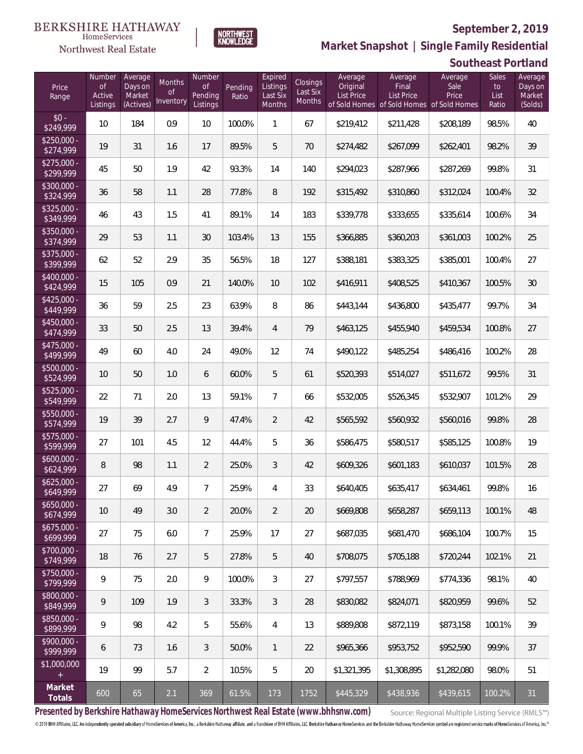**Southeast Portland**



**Market Snapshot | Single Family Residential**

#### **BERKSHIRE HATHAWAY**  $\label{lem:sevices} \textsc{Home} \textsc{Service} \textsc{s}$ Northwest Real Estate

| Price<br>Range                    | Number<br><b>of</b><br>Active<br>Listings | Average<br>Days on<br>Market<br>(Actives) | Months<br><b>of</b><br>Inventory | Number<br><b>of</b><br>Pending<br>Listings | Pending<br>Ratio | Expired<br>Listings<br>Last Six<br>Months | <b>Closings</b><br>Last Six<br><b>Months</b> | Average<br>Original<br>List Price | Average<br>Final<br><b>List Price</b><br>of Sold Homes of Sold Homes of Sold Homes | Average<br>Sale<br>Price | Sales<br>to<br>List<br>Ratio | Average<br>Days on<br>Market<br>(Solds) |
|-----------------------------------|-------------------------------------------|-------------------------------------------|----------------------------------|--------------------------------------------|------------------|-------------------------------------------|----------------------------------------------|-----------------------------------|------------------------------------------------------------------------------------|--------------------------|------------------------------|-----------------------------------------|
| $$0 -$<br>\$249,999               | 10                                        | 184                                       | 0.9                              | 10                                         | 100.0%           | 1                                         | 67                                           | \$219,412                         | \$211,428                                                                          | \$208,189                | 98.5%                        | 40                                      |
| $$250,000 -$<br>\$274,999         | 19                                        | 31                                        | 1.6                              | 17                                         | 89.5%            | 5                                         | 70                                           | \$274,482                         | \$267,099                                                                          | \$262,401                | 98.2%                        | 39                                      |
| $$275,000 -$<br>\$299,999         | 45                                        | 50                                        | 1.9                              | 42                                         | 93.3%            | 14                                        | 140                                          | \$294,023                         | \$287,966                                                                          | \$287,269                | 99.8%                        | 31                                      |
| $$300,000 -$<br>\$324,999         | 36                                        | 58                                        | 1.1                              | 28                                         | 77.8%            | 8                                         | 192                                          | \$315,492                         | \$310,860                                                                          | \$312,024                | 100.4%                       | 32                                      |
| $$325,000 -$<br>\$349,999         | 46                                        | 43                                        | 1.5                              | 41                                         | 89.1%            | 14                                        | 183                                          | \$339,778                         | \$333,655                                                                          | \$335,614                | 100.6%                       | 34                                      |
| $$350,000 -$<br>\$374,999         | 29                                        | 53                                        | 1.1                              | 30                                         | 103.4%           | 13                                        | 155                                          | \$366,885                         | \$360,203                                                                          | \$361,003                | 100.2%                       | 25                                      |
| $$375,000 -$<br>\$399,999         | 62                                        | 52                                        | 2.9                              | 35                                         | 56.5%            | 18                                        | 127                                          | \$388,181                         | \$383,325                                                                          | \$385,001                | 100.4%                       | 27                                      |
| \$400,000 -<br>\$424,999          | 15                                        | 105                                       | 0.9                              | 21                                         | 140.0%           | 10                                        | 102                                          | \$416,911                         | \$408,525                                                                          | \$410,367                | 100.5%                       | 30                                      |
| $$425,000 -$<br>\$449,999         | 36                                        | 59                                        | 2.5                              | 23                                         | 63.9%            | 8                                         | 86                                           | \$443,144                         | \$436,800                                                                          | \$435,477                | 99.7%                        | 34                                      |
| $$450,000 -$<br>\$474,999         | 33                                        | 50                                        | 2.5                              | 13                                         | 39.4%            | $\overline{4}$                            | 79                                           | \$463,125                         | \$455,940                                                                          | \$459,534                | 100.8%                       | 27                                      |
| $$475,000 -$<br>\$499,999         | 49                                        | 60                                        | 4.0                              | 24                                         | 49.0%            | 12                                        | 74                                           | \$490,122                         | \$485,254                                                                          | \$486,416                | 100.2%                       | 28                                      |
| $$500,000 -$<br>\$524,999         | 10                                        | 50                                        | 1.0                              | 6                                          | 60.0%            | 5                                         | 61                                           | \$520,393                         | \$514,027                                                                          | \$511,672                | 99.5%                        | 31                                      |
| $$525,000 -$<br>\$549,999         | 22                                        | 71                                        | 2.0                              | 13                                         | 59.1%            | $\overline{7}$                            | 66                                           | \$532,005                         | \$526,345                                                                          | \$532,907                | 101.2%                       | 29                                      |
| \$550,000 -<br>\$574,999          | 19                                        | 39                                        | 2.7                              | 9                                          | 47.4%            | 2                                         | 42                                           | \$565,592                         | \$560,932                                                                          | \$560,016                | 99.8%                        | 28                                      |
| $$575,000 -$<br>\$599,999         | 27                                        | 101                                       | 4.5                              | 12                                         | 44.4%            | 5                                         | 36                                           | \$586,475                         | \$580,517                                                                          | \$585,125                | 100.8%                       | 19                                      |
| $$600,000 -$<br>\$624,999         | 8                                         | 98                                        | 1.1                              | $\overline{2}$                             | 25.0%            | 3                                         | 42                                           | \$609,326                         | \$601,183                                                                          | \$610,037                | 101.5%                       | 28                                      |
| $$625,000 -$<br>\$649,999         | 27                                        | 69                                        | 4.9                              | $\overline{7}$                             | 25.9%            | 4                                         | 33                                           | \$640,405                         | \$635,417                                                                          | \$634,461                | 99.8%                        | 16                                      |
| $$650,000 -$<br>\$674,999         | 10                                        | 49                                        | 3.0                              | $\overline{2}$                             | 20.0%            | $\overline{2}$                            | 20                                           | \$669,808                         | \$658,287                                                                          | \$659,113                | 100.1%                       | 48                                      |
| $$675,000 -$<br>\$699,999         | 27                                        | 75                                        | 6.0                              | $7\overline{ }$                            | 25.9%            | 17                                        | 27                                           | \$687,035                         | \$681,470                                                                          | \$686,104                | 100.7%                       | 15                                      |
| \$700,000 -<br>\$749,999          | 18                                        | 76                                        | 2.7                              | 5                                          | 27.8%            | 5                                         | 40                                           | \$708,075                         | \$705,188                                                                          | \$720,244                | 102.1%                       | 21                                      |
| $$750,000 -$<br>$\sqrt{$799,999}$ | 9                                         | 75                                        | 2.0                              | 9                                          | 100.0%           | 3                                         | 27                                           | \$797,557                         | \$788,969                                                                          | \$774,336                | 98.1%                        | 40                                      |
| \$800,000 -<br>\$849,999          | 9                                         | 109                                       | 1.9                              | 3                                          | 33.3%            | $\mathfrak{Z}$                            | 28                                           | \$830,082                         | \$824,071                                                                          | \$820,959                | 99.6%                        | 52                                      |
| \$850,000 -<br>\$899,999          | 9                                         | 98                                        | 4.2                              | 5                                          | 55.6%            | $\overline{4}$                            | 13                                           | \$889,808                         | \$872,119                                                                          | \$873,158                | 100.1%                       | 39                                      |
| \$900,000 -<br>\$999,999          | 6                                         | 73                                        | 1.6                              | 3                                          | 50.0%            | $\mathbf{1}$                              | 22                                           | \$965,366                         | \$953,752                                                                          | \$952,590                | 99.9%                        | 37                                      |
| \$1,000,000<br>$+$                | 19                                        | 99                                        | 5.7                              | $\overline{2}$                             | 10.5%            | 5                                         | 20                                           | \$1,321,395                       | \$1,308,895                                                                        | \$1,282,080              | 98.0%                        | 51                                      |
| Market<br>Totals                  | 600                                       | 65                                        | 2.1                              | 369                                        | 61.5%            | 173                                       | 1752                                         | \$445,329                         | \$438,936                                                                          | \$439,615                | 100.2%                       | 31                                      |

**Presented by Berkshire Hathaway HomeServices Northwest Real Estate (www.bhhsnw.com)**

Source: Regional Multiple Listing Service (RMLS™)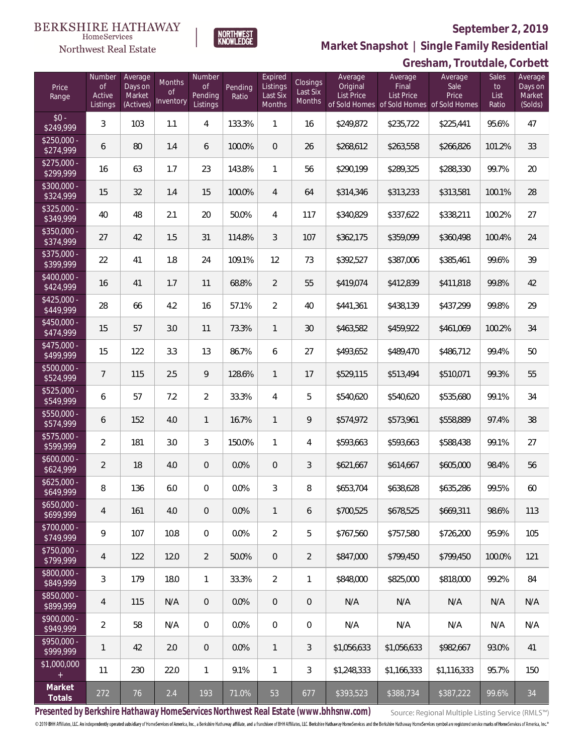#### **BERKSHIRE HATHAWAY** HomeServices

# Northwest Real Estate

### **September 2, 2019**



**Market Snapshot | Single Family Residential**

## **Gresham, Troutdale, Corbett**

| Price<br>Range            | Number<br><b>of</b><br>Active<br>Listings | Average<br>Days on<br>Market<br>(Actives) | Months<br>0f<br>Inventory | Number<br><b>of</b><br>Pending<br>Listings | Pending<br>Ratio | Expired<br>Listings<br>Last Six<br>Months | Closings<br>Last Six<br>Months | Average<br>Original<br>List Price | Average<br>Final<br>List Price<br>of Sold Homes of Sold Homes of Sold Homes | Average<br>Sale<br>Price | Sales<br>to<br>List<br>Ratio | Average<br>Days on<br>Market<br>(Solds) |
|---------------------------|-------------------------------------------|-------------------------------------------|---------------------------|--------------------------------------------|------------------|-------------------------------------------|--------------------------------|-----------------------------------|-----------------------------------------------------------------------------|--------------------------|------------------------------|-----------------------------------------|
| $$0 -$<br>\$249,999       | 3                                         | 103                                       | 1.1                       | $\overline{4}$                             | 133.3%           | 1                                         | 16                             | \$249,872                         | \$235,722                                                                   | \$225,441                | 95.6%                        | 47                                      |
| $$250,000 -$<br>\$274,999 | 6                                         | 80                                        | 1.4                       | 6                                          | 100.0%           | $\Omega$                                  | 26                             | \$268,612                         | \$263,558                                                                   | \$266,826                | 101.2%                       | 33                                      |
| $$275,000 -$<br>\$299,999 | 16                                        | 63                                        | 1.7                       | 23                                         | 143.8%           | $\mathbf{1}$                              | 56                             | \$290,199                         | \$289,325                                                                   | \$288,330                | 99.7%                        | 20                                      |
| $$300,000 -$<br>\$324,999 | 15                                        | 32                                        | 1.4                       | 15                                         | 100.0%           | $\overline{4}$                            | 64                             | \$314,346                         | \$313,233                                                                   | \$313,581                | 100.1%                       | 28                                      |
| $$325,000 -$<br>\$349,999 | 40                                        | 48                                        | 2.1                       | 20                                         | 50.0%            | $\overline{4}$                            | 117                            | \$340,829                         | \$337,622                                                                   | \$338,211                | 100.2%                       | 27                                      |
| $$350,000 -$<br>\$374,999 | 27                                        | 42                                        | 1.5                       | 31                                         | 114.8%           | 3                                         | 107                            | \$362,175                         | \$359,099                                                                   | \$360,498                | 100.4%                       | 24                                      |
| $$375,000 -$<br>\$399,999 | 22                                        | 41                                        | 1.8                       | 24                                         | 109.1%           | 12                                        | 73                             | \$392,527                         | \$387,006                                                                   | \$385,461                | 99.6%                        | 39                                      |
| $$400,000 -$<br>\$424,999 | 16                                        | 41                                        | 1.7                       | 11                                         | 68.8%            | $\overline{2}$                            | 55                             | \$419,074                         | \$412,839                                                                   | \$411,818                | 99.8%                        | 42                                      |
| $$425,000 -$<br>\$449,999 | 28                                        | 66                                        | 4.2                       | 16                                         | 57.1%            | $\overline{2}$                            | 40                             | \$441,361                         | \$438,139                                                                   | \$437,299                | 99.8%                        | 29                                      |
| $$450,000 -$<br>\$474,999 | 15                                        | 57                                        | 3.0                       | 11                                         | 73.3%            | $\mathbf{1}$                              | 30                             | \$463,582                         | \$459,922                                                                   | \$461,069                | 100.2%                       | 34                                      |
| $$475,000 -$<br>\$499,999 | 15                                        | 122                                       | 3.3                       | 13                                         | 86.7%            | 6                                         | 27                             | \$493,652                         | \$489,470                                                                   | \$486,712                | 99.4%                        | 50                                      |
| $$500,000 -$<br>\$524,999 | $\overline{7}$                            | 115                                       | 2.5                       | 9                                          | 128.6%           | $\mathbf{1}$                              | 17                             | \$529,115                         | \$513,494                                                                   | \$510,071                | 99.3%                        | 55                                      |
| \$525,000 -<br>\$549,999  | 6                                         | 57                                        | 7.2                       | $\overline{2}$                             | 33.3%            | $\overline{4}$                            | 5                              | \$540,620                         | \$540,620                                                                   | \$535,680                | 99.1%                        | 34                                      |
| $$550,000 -$<br>\$574,999 | 6                                         | 152                                       | 4.0                       | $\mathbf{1}$                               | 16.7%            | $\mathbf{1}$                              | 9                              | \$574,972                         | \$573,961                                                                   | \$558,889                | 97.4%                        | 38                                      |
| \$575,000 -<br>\$599,999  | $\overline{2}$                            | 181                                       | 3.0                       | $\mathfrak{Z}$                             | 150.0%           | $\mathbf{1}$                              | 4                              | \$593,663                         | \$593,663                                                                   | \$588,438                | 99.1%                        | 27                                      |
| $$600,000 -$<br>\$624,999 | $\overline{2}$                            | 18                                        | 4.0                       | $\overline{0}$                             | 0.0%             | $\overline{0}$                            | 3                              | \$621,667                         | \$614,667                                                                   | \$605,000                | 98.4%                        | 56                                      |
| $$625,000 -$<br>\$649,999 | 8                                         | 136                                       | 6.0                       | $\overline{0}$                             | 0.0%             | 3                                         | 8                              | \$653,704                         | \$638,628                                                                   | \$635,286                | 99.5%                        | 60                                      |
| $$650,000 -$<br>\$699,999 | 4                                         | 161                                       | 4.0                       | $\theta$                                   | 0.0%             | 1                                         | 6                              | \$700,525                         | \$678,525                                                                   | \$669,311                | 98.6%                        | 113                                     |
| $$700,000 -$<br>\$749,999 | 9                                         | 107                                       | 10.8                      | 0                                          | 0.0%             | $\overline{2}$                            | 5                              | \$767,560                         | \$757,580                                                                   | \$726,200                | 95.9%                        | 105                                     |
| $$750,000 -$<br>\$799,999 | 4                                         | 122                                       | 12.0                      | $\overline{2}$                             | 50.0%            | $\sqrt{2}$                                | $\overline{2}$                 | \$847,000                         | \$799,450                                                                   | \$799,450                | 100.0%                       | 121                                     |
| \$800,000 -<br>\$849,999  | 3                                         | 179                                       | 18.0                      | $\mathbf{1}$                               | 33.3%            | $\overline{2}$                            | 1                              | \$848,000                         | \$825,000                                                                   | \$818,000                | 99.2%                        | 84                                      |
| \$850,000 -<br>\$899,999  | $\overline{4}$                            | 115                                       | N/A                       | $\overline{0}$                             | 0.0%             | $\sqrt{2}$                                | 0                              | N/A                               | N/A                                                                         | N/A                      | N/A                          | N/A                                     |
| $$900,000 -$<br>\$949,999 | $\overline{2}$                            | 58                                        | N/A                       | 0                                          | 0.0%             | $\mathbf 0$                               | $\mathbf 0$                    | N/A                               | N/A                                                                         | N/A                      | N/A                          | N/A                                     |
| $$950.000 -$<br>\$999,999 | 1                                         | 42                                        | 2.0                       | $\overline{0}$                             | 0.0%             | $\mathbf{1}$                              | 3                              | \$1,056,633                       | \$1,056,633                                                                 | \$982,667                | 93.0%                        | 41                                      |
| \$1,000,000<br>$+$        | 11                                        | 230                                       | 22.0                      | $\mathbf{1}$                               | 9.1%             | $\mathbf{1}$                              | 3                              | \$1,248,333                       | \$1,166,333                                                                 | \$1,116,333              | 95.7%                        | 150                                     |
| Market<br>Totals          | 272                                       | 76                                        | 2.4                       | 193                                        | 71.0%            | 53                                        | 677                            | \$393,523                         | \$388,734                                                                   | \$387,222                | 99.6%                        | 34                                      |

**Presented by Berkshire Hathaway HomeServices Northwest Real Estate (www.bhhsnw.com)**

Source: Regional Multiple Listing Service (RMLS™)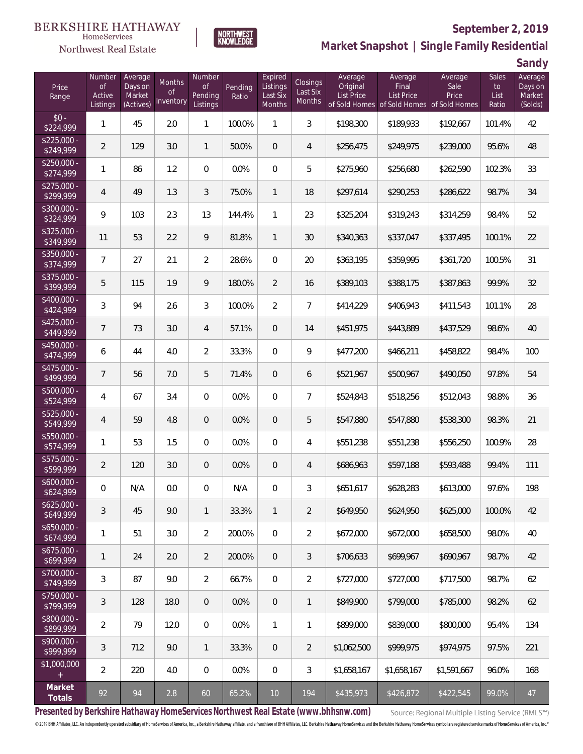#### BERKSHIRE HATHAWAY HomeServices

## Northwest Real Estate



# **September 2, 2019**

**Market Snapshot | Single Family Residential**

**Sandy**

|                           |                                           |                                           |                           |                                     |                  |                                                  |                                       |                                          |                                       |                                                                       |                                     | uu iu y                                 |
|---------------------------|-------------------------------------------|-------------------------------------------|---------------------------|-------------------------------------|------------------|--------------------------------------------------|---------------------------------------|------------------------------------------|---------------------------------------|-----------------------------------------------------------------------|-------------------------------------|-----------------------------------------|
| Price<br>Range            | Number<br><b>of</b><br>Active<br>Listings | Average<br>Days on<br>Market<br>(Actives) | Months<br>0f<br>Inventory | Number<br>of<br>Pending<br>Listings | Pending<br>Ratio | Expired<br>Listings<br>Last Six<br><b>Months</b> | Closings<br>Last Six<br><b>Months</b> | Average<br>Original<br><b>List Price</b> | Average<br>Final<br><b>List Price</b> | Average<br>Sale<br>Price<br>of Sold Homes of Sold Homes of Sold Homes | <b>Sales</b><br>to<br>List<br>Ratio | Average<br>Days on<br>Market<br>(Solds) |
| $$0 -$<br>\$224,999       | 1                                         | 45                                        | 2.0                       | $\mathbf{1}$                        | 100.0%           | $\mathbf{1}$                                     | 3                                     | \$198,300                                | \$189,933                             | \$192,667                                                             | 101.4%                              | 42                                      |
| $$225,000 -$<br>\$249,999 | $\overline{2}$                            | 129                                       | 3.0                       | $\mathbf{1}$                        | 50.0%            | $\mathbf 0$                                      | 4                                     | \$256,475                                | \$249,975                             | \$239,000                                                             | 95.6%                               | 48                                      |
| $$250,000 -$<br>\$274,999 | 1                                         | 86                                        | 1.2                       | $\boldsymbol{0}$                    | 0.0%             | $\boldsymbol{0}$                                 | 5                                     | \$275,960                                | \$256,680                             | \$262,590                                                             | 102.3%                              | 33                                      |
| $$275,000 -$<br>\$299,999 | $\overline{4}$                            | 49                                        | 1.3                       | 3                                   | 75.0%            | $\mathbf{1}$                                     | 18                                    | \$297,614                                | \$290,253                             | \$286,622                                                             | 98.7%                               | 34                                      |
| $$300,000 -$<br>\$324,999 | 9                                         | 103                                       | 2.3                       | 13                                  | 144.4%           | $\mathbf{1}$                                     | 23                                    | \$325,204                                | \$319,243                             | \$314,259                                                             | 98.4%                               | 52                                      |
| $$325,000 -$<br>\$349,999 | 11                                        | 53                                        | 2.2                       | 9                                   | 81.8%            | $\mathbf{1}$                                     | 30                                    | \$340,363                                | \$337,047                             | \$337,495                                                             | 100.1%                              | 22                                      |
| $$350,000 -$<br>\$374,999 | 7                                         | 27                                        | 2.1                       | $\overline{2}$                      | 28.6%            | $\mathbf 0$                                      | 20                                    | \$363,195                                | \$359,995                             | \$361,720                                                             | 100.5%                              | 31                                      |
| $$375,000 -$<br>\$399,999 | 5                                         | 115                                       | 1.9                       | 9                                   | 180.0%           | $\overline{2}$                                   | 16                                    | \$389,103                                | \$388,175                             | \$387,863                                                             | 99.9%                               | 32                                      |
| $$400,000 -$<br>\$424,999 | 3                                         | 94                                        | 2.6                       | 3                                   | 100.0%           | $\overline{2}$                                   | $\overline{7}$                        | \$414,229                                | \$406,943                             | \$411,543                                                             | 101.1%                              | 28                                      |
| $$425,000 -$<br>\$449,999 | $\overline{7}$                            | 73                                        | 3.0                       | 4                                   | 57.1%            | $\mathbf 0$                                      | 14                                    | \$451,975                                | \$443,889                             | \$437,529                                                             | 98.6%                               | 40                                      |
| $$450,000 -$<br>\$474,999 | 6                                         | 44                                        | 4.0                       | $\overline{2}$                      | 33.3%            | $\overline{0}$                                   | 9                                     | \$477,200                                | \$466,211                             | \$458,822                                                             | 98.4%                               | 100                                     |
| $$475,000 -$<br>\$499,999 | $\overline{7}$                            | 56                                        | 7.0                       | 5                                   | 71.4%            | $\overline{0}$                                   | 6                                     | \$521,967                                | \$500,967                             | \$490,050                                                             | 97.8%                               | 54                                      |
| $$500,000 -$<br>\$524,999 | 4                                         | 67                                        | 3.4                       | $\overline{0}$                      | 0.0%             | $\mathbf 0$                                      | $\overline{7}$                        | \$524,843                                | \$518,256                             | \$512,043                                                             | 98.8%                               | 36                                      |
| $$525,000 -$<br>\$549,999 | 4                                         | 59                                        | 4.8                       | $\overline{0}$                      | 0.0%             | $\boldsymbol{0}$                                 | 5                                     | \$547,880                                | \$547,880                             | \$538,300                                                             | 98.3%                               | 21                                      |
| $$550,000 -$<br>\$574,999 | 1                                         | 53                                        | 1.5                       | $\overline{0}$                      | 0.0%             | $\mathbf 0$                                      | 4                                     | \$551,238                                | \$551,238                             | \$556,250                                                             | 100.9%                              | 28                                      |
| $$575,000 -$<br>\$599,999 | $\overline{2}$                            | 120                                       | 3.0                       | $\overline{0}$                      | 0.0%             | $\overline{0}$                                   | 4                                     | \$686,963                                | \$597,188                             | \$593,488                                                             | 99.4%                               | 111                                     |
| $$600,000 -$<br>\$624,999 | 0                                         | N/A                                       | 0.0                       | 0                                   | N/A              | 0                                                | 3                                     | \$651,617                                | \$628,283                             | \$613,000                                                             | 97.6%                               | 198                                     |
| $$625,000 -$<br>\$649,999 | 3                                         | 45                                        | 9.0                       | $\mathbf{1}$                        | 33.3%            | $\mathbf{1}$                                     | $\overline{2}$                        | \$649,950                                | \$624,950                             | \$625,000                                                             | 100.0%                              | 42                                      |
| $$650,000 -$<br>\$674,999 | $\mathbf{1}$                              | 51                                        | 3.0                       | $\overline{2}$                      | 200.0%           | $\overline{0}$                                   | $\overline{2}$                        | \$672,000                                | \$672,000                             | \$658,500                                                             | 98.0%                               | 40                                      |
| $$675,000 -$<br>\$699,999 | $\mathbf{1}$                              | 24                                        | 2.0                       | $\overline{2}$                      | 200.0%           | $\overline{0}$                                   | 3                                     | \$706,633                                | \$699,967                             | \$690,967                                                             | 98.7%                               | 42                                      |
| \$700,000 -<br>\$749,999  | 3                                         | 87                                        | 9.0                       | $\overline{2}$                      | 66.7%            | $\overline{0}$                                   | $\overline{a}$                        | \$727,000                                | \$727,000                             | \$717,500                                                             | 98.7%                               | 62                                      |
| \$750,000 -<br>\$799,999  | 3                                         | 128                                       | 18.0                      | $\boldsymbol{0}$                    | 0.0%             | $\mathbf 0$                                      | $\mathbf{1}$                          | \$849,900                                | \$799,000                             | \$785,000                                                             | 98.2%                               | 62                                      |
| \$800,000 -<br>\$899,999  | $\overline{2}$                            | 79                                        | 12.0                      | $\mathbf 0$                         | 0.0%             | $\mathbf{1}$                                     | $\mathbf{1}$                          | \$899,000                                | \$839,000                             | \$800,000                                                             | 95.4%                               | 134                                     |
| \$900,000 -<br>\$999,999  | 3                                         | 712                                       | 9.0                       | $\mathbf{1}$                        | 33.3%            | $\mathbf 0$                                      | $\overline{2}$                        | \$1,062,500                              | \$999,975                             | \$974,975                                                             | 97.5%                               | 221                                     |
| \$1,000,000<br>$\pm$      | $\overline{2}$                            | 220                                       | 4.0                       | $\mathbf{0}$                        | 0.0%             | $\overline{0}$                                   | 3                                     | \$1,658,167                              | \$1,658,167                           | \$1,591,667                                                           | 96.0%                               | 168                                     |
| Market<br>Totals          | 92                                        | 94                                        | $2.8\,$                   | 60                                  | 65.2%            | $10$                                             | 194                                   | \$435,973                                | \$426,872                             | \$422,545                                                             | 99.0%                               | 47                                      |

**Presented by Berkshire Hathaway HomeServices Northwest Real Estate (www.bhhsnw.com)**

Source: Regional Multiple Listing Service (RMLS™)